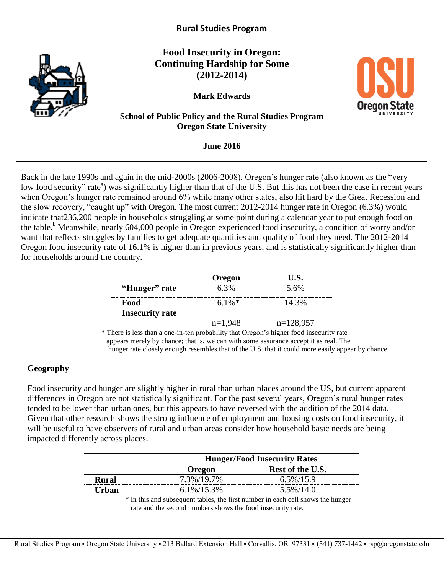

# **Rural Studies Program**

**Food Insecurity in Oregon: Continuing Hardship for Some (2012-2014)**

**Mark Edwards** 

**School of Public Policy and the Rural Studies Program Oregon State University**

**June 2016**

Back in the late 1990s and again in the mid-2000s (2006-2008), Oregon's hunger rate (also known as the "very low food security" rate<sup>a</sup>) was significantly higher than that of the U.S. But this has not been the case in recent years when Oregon's hunger rate remained around 6% while many other states, also hit hard by the Great Recession and the slow recovery, "caught up" with Oregon. The most current 2012-2014 hunger rate in Oregon (6.3%) would indicate that236,200 people in households struggling at some point during a calendar year to put enough food on the table.<sup>b</sup> Meanwhile, nearly 604,000 people in Oregon experienced food insecurity, a condition of worry and/or want that reflects struggles by families to get adequate quantities and quality of food they need. The 2012-2014 Oregon food insecurity rate of 16.1% is higher than in previous years, and is statistically significantly higher than for households around the country.

|                        | Oregon    | U.S.        |
|------------------------|-----------|-------------|
| "Hunger" rate          | 6.3%      | 5.6%        |
| Food                   | $16.1\%*$ | 14.3%       |
| <b>Insecurity rate</b> |           |             |
|                        | $n=1,948$ | $n=128,957$ |

\* There is less than a one-in-ten probability that Oregon's higher food insecurity rate appears merely by chance; that is, we can with some assurance accept it as real. The hunger rate closely enough resembles that of the U.S. that it could more easily appear by chance.

### **Geography**

Food insecurity and hunger are slightly higher in rural than urban places around the US, but current apparent differences in Oregon are not statistically significant. For the past several years, Oregon's rural hunger rates tended to be lower than urban ones, but this appears to have reversed with the addition of the 2014 data. Given that other research shows the strong influence of employment and housing costs on food insecurity, it will be useful to have observers of rural and urban areas consider how household basic needs are being impacted differently across places.

|       | <b>Hunger/Food Insecurity Rates</b> |                  |
|-------|-------------------------------------|------------------|
|       | <b>Oregon</b>                       | Rest of the U.S. |
| Rural | 7.3%/19.7%                          | $6.5\%/15.9$     |
| Urban | $6.1\%/15.3\%$                      | $5.5\%/14.0$     |

\* In this and subsequent tables, the first number in each cell shows the hunger



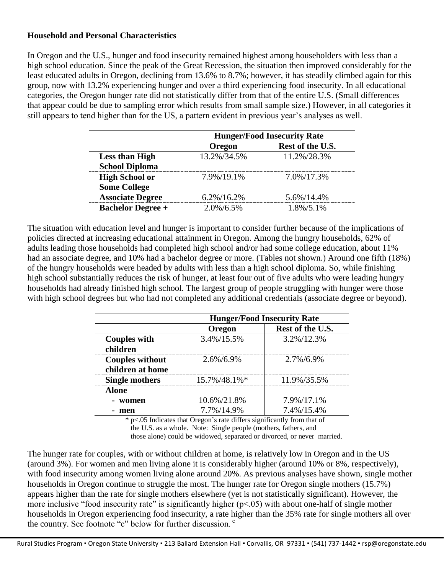## **Household and Personal Characteristics**

In Oregon and the U.S., hunger and food insecurity remained highest among householders with less than a high school education. Since the peak of the Great Recession, the situation then improved considerably for the least educated adults in Oregon, declining from 13.6% to 8.7%; however, it has steadily climbed again for this group, now with 13.2% experiencing hunger and over a third experiencing food insecurity. In all educational categories, the Oregon hunger rate did not statistically differ from that of the entire U.S. (Small differences that appear could be due to sampling error which results from small sample size.) However, in all categories it still appears to tend higher than for the US, a pattern evident in previous year's analyses as well.

|                          | <b>Hunger/Food Insecurity Rate</b> |                  |
|--------------------------|------------------------------------|------------------|
|                          | Oregon                             | Rest of the U.S. |
| <b>Less than High</b>    | 13.2%/34.5%                        | 11.2%/28.3%      |
| <b>School Diploma</b>    |                                    |                  |
| <b>High School or</b>    | 7.9%/19.1%                         | 7.0%/17.3%       |
| <b>Some College</b>      |                                    |                  |
| <b>Associate Degree</b>  | $6.2\%/16.2\%$                     | 5.6%/14.4%       |
| <b>Bachelor Degree +</b> | $2.0\%/6.5\%$                      | 1.8%/5.1%        |

The situation with education level and hunger is important to consider further because of the implications of policies directed at increasing educational attainment in Oregon. Among the hungry households, 62% of adults leading those households had completed high school and/or had some college education, about 11% had an associate degree, and 10% had a bachelor degree or more. (Tables not shown.) Around one fifth (18%) of the hungry households were headed by adults with less than a high school diploma. So, while finishing high school substantially reduces the risk of hunger, at least four out of five adults who were leading hungry households had already finished high school. The largest group of people struggling with hunger were those with high school degrees but who had not completed any additional credentials (associate degree or beyond).

|                                            | <b>Hunger/Food Insecurity Rate</b> |                  |
|--------------------------------------------|------------------------------------|------------------|
|                                            | Oregon                             | Rest of the U.S. |
| <b>Couples with</b><br>children            | 3.4%/15.5%                         | 3.2%/12.3%       |
| <b>Couples without</b><br>children at home | $2.6\%/6.9\%$                      | $2.7\%/6.9\%$    |
| <b>Single mothers</b>                      | 15.7%/48.1%*                       | 11.9%/35.5%      |
| <b>Alone</b><br>- women                    | 10.6%/21.8%                        | 7.9%/17.1%       |
| men                                        | 7.7%/14.9%                         | 7.4%/15.4%       |

\* p<.05 Indicates that Oregon's rate differs significantly from that of the U.S. as a whole. Note: Single people (mothers, fathers, and

those alone) could be widowed, separated or divorced, or never married.

The hunger rate for couples, with or without children at home, is relatively low in Oregon and in the US (around 3%). For women and men living alone it is considerably higher (around 10% or 8%, respectively), with food insecurity among women living alone around 20%. As previous analyses have shown, single mother households in Oregon continue to struggle the most. The hunger rate for Oregon single mothers (15.7%) appears higher than the rate for single mothers elsewhere (yet is not statistically significant). However, the more inclusive "food insecurity rate" is significantly higher ( $p<0.05$ ) with about one-half of single mother households in Oregon experiencing food insecurity, a rate higher than the 35% rate for single mothers all over the country. See footnote "c" below for further discussion. <sup>c</sup>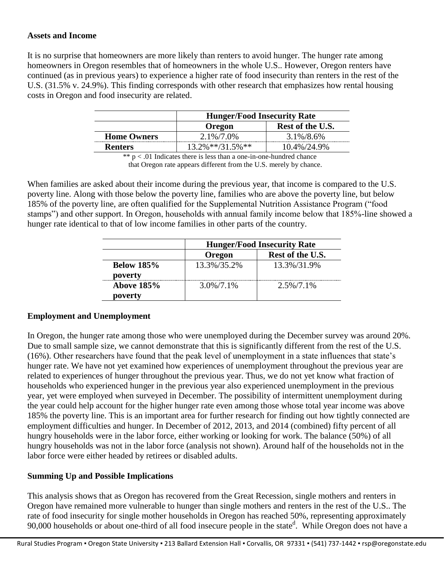## **Assets and Income**

It is no surprise that homeowners are more likely than renters to avoid hunger. The hunger rate among homeowners in Oregon resembles that of homeowners in the whole U.S.. However, Oregon renters have continued (as in previous years) to experience a higher rate of food insecurity than renters in the rest of the U.S. (31.5% v. 24.9%). This finding corresponds with other research that emphasizes how rental housing costs in Oregon and food insecurity are related.

|                    | <b>Hunger/Food Insecurity Rate</b> |                  |
|--------------------|------------------------------------|------------------|
|                    | <b>Oregon</b>                      | Rest of the U.S. |
| <b>Home Owners</b> | $2.1\%/7.0\%$                      | 3.1%/8.6%        |
| <b>Renters</b>     | $13.2\%$ **/31.5%**                | 10.4%/24.9%      |

 $** p < .01$  Indicates there is less than a one-in-one-hundred chance that Oregon rate appears different from the U.S. merely by chance.

When families are asked about their income during the previous year, that income is compared to the U.S. poverty line. Along with those below the poverty line, families who are above the poverty line, but below 185% of the poverty line, are often qualified for the Supplemental Nutrition Assistance Program ("food stamps") and other support. In Oregon, households with annual family income below that 185%-line showed a hunger rate identical to that of low income families in other parts of the country.

|                              | <b>Hunger/Food Insecurity Rate</b> |                  |
|------------------------------|------------------------------------|------------------|
|                              | Oregon                             | Rest of the U.S. |
| <b>Below 185%</b><br>poverty | 13.3%/35.2%                        | 13.3%/31.9%      |
| <b>Above 185%</b><br>poverty | $3.0\%/7.1\%$                      | $2.5\%/7.1\%$    |

### **Employment and Unemployment**

In Oregon, the hunger rate among those who were unemployed during the December survey was around 20%. Due to small sample size, we cannot demonstrate that this is significantly different from the rest of the U.S. (16%). Other researchers have found that the peak level of unemployment in a state influences that state's hunger rate. We have not yet examined how experiences of unemployment throughout the previous year are related to experiences of hunger throughout the previous year. Thus, we do not yet know what fraction of households who experienced hunger in the previous year also experienced unemployment in the previous year, yet were employed when surveyed in December. The possibility of intermittent unemployment during the year could help account for the higher hunger rate even among those whose total year income was above 185% the poverty line. This is an important area for further research for finding out how tightly connected are employment difficulties and hunger. In December of 2012, 2013, and 2014 (combined) fifty percent of all hungry households were in the labor force, either working or looking for work. The balance (50%) of all hungry households was not in the labor force (analysis not shown). Around half of the households not in the labor force were either headed by retirees or disabled adults.

# **Summing Up and Possible Implications**

This analysis shows that as Oregon has recovered from the Great Recession, single mothers and renters in Oregon have remained more vulnerable to hunger than single mothers and renters in the rest of the U.S.. The rate of food insecurity for single mother households in Oregon has reached 50%, representing approximately 90,000 households or about one-third of all food insecure people in the state<sup>d</sup>. While Oregon does not have a